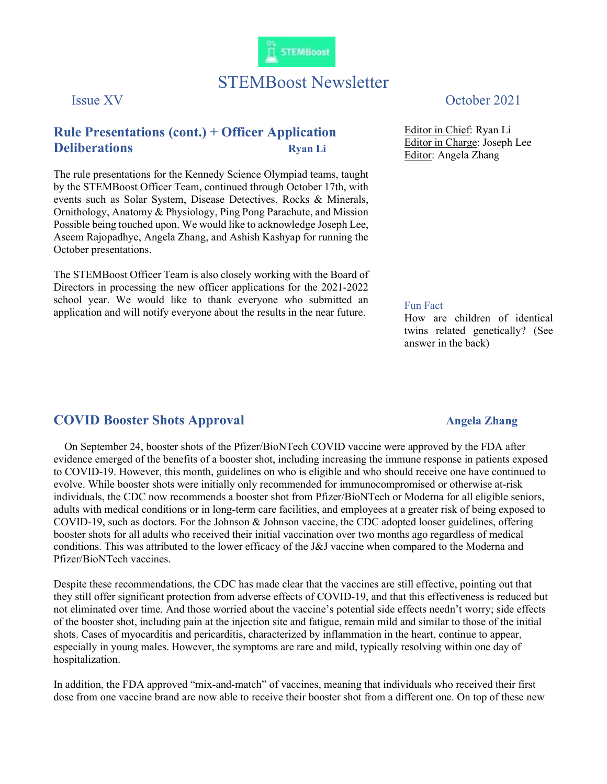

# STEMBoost Newsletter

## Rule Presentations (cont.) + Officer Application **Deliberations** Ryan Li

The rule presentations for the Kennedy Science Olympiad teams, taught by the STEMBoost Officer Team, continued through October 17th, with events such as Solar System, Disease Detectives, Rocks & Minerals, Ornithology, Anatomy & Physiology, Ping Pong Parachute, and Mission Possible being touched upon. We would like to acknowledge Joseph Lee, Aseem Rajopadhye, Angela Zhang, and Ashish Kashyap for running the October presentations.

The STEMBoost Officer Team is also closely working with the Board of Directors in processing the new officer applications for the 2021-2022 school year. We would like to thank everyone who submitted an application and will notify everyone about the results in the near future.

### Issue XV October 2021

Editor in Chief: Ryan Li Editor in Charge: Joseph Lee Editor: Angela Zhang

#### Fun Fact

How are children of identical twins related genetically? (See answer in the back)

### COVID Booster Shots Approval Angela Zhang

 On September 24, booster shots of the Pfizer/BioNTech COVID vaccine were approved by the FDA after evidence emerged of the benefits of a booster shot, including increasing the immune response in patients exposed to COVID-19. However, this month, guidelines on who is eligible and who should receive one have continued to evolve. While booster shots were initially only recommended for immunocompromised or otherwise at-risk individuals, the CDC now recommends a booster shot from Pfizer/BioNTech or Moderna for all eligible seniors, adults with medical conditions or in long-term care facilities, and employees at a greater risk of being exposed to COVID-19, such as doctors. For the Johnson & Johnson vaccine, the CDC adopted looser guidelines, offering booster shots for all adults who received their initial vaccination over two months ago regardless of medical conditions. This was attributed to the lower efficacy of the J&J vaccine when compared to the Moderna and Pfizer/BioNTech vaccines.

Despite these recommendations, the CDC has made clear that the vaccines are still effective, pointing out that they still offer significant protection from adverse effects of COVID-19, and that this effectiveness is reduced but not eliminated over time. And those worried about the vaccine's potential side effects needn't worry; side effects of the booster shot, including pain at the injection site and fatigue, remain mild and similar to those of the initial shots. Cases of myocarditis and pericarditis, characterized by inflammation in the heart, continue to appear, especially in young males. However, the symptoms are rare and mild, typically resolving within one day of hospitalization.

In addition, the FDA approved "mix-and-match" of vaccines, meaning that individuals who received their first dose from one vaccine brand are now able to receive their booster shot from a different one. On top of these new